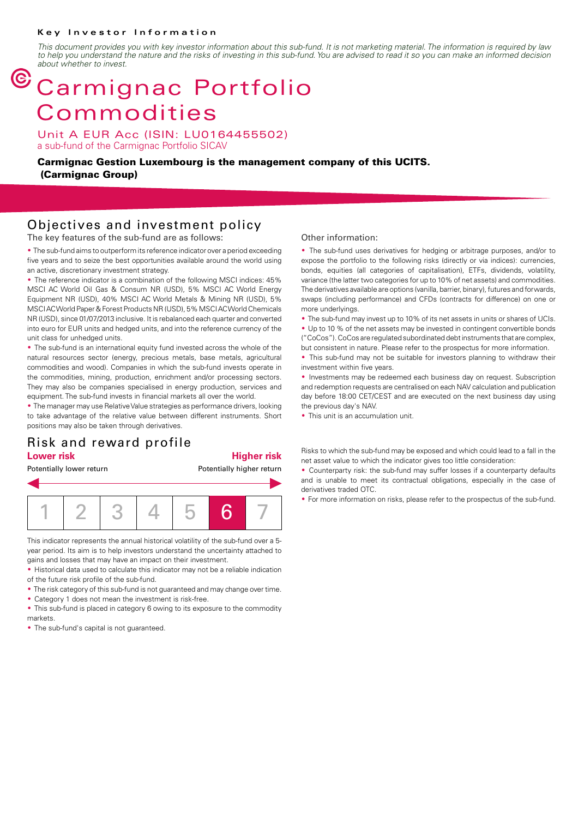### **Key Investor Information**

*This document provides you with key investor information about this sub-fund. It is not marketing material. The information is required by law to help you understand the nature and the risks of investing in this sub-fund. You are advised to read it so you can make an informed decision about whether to invest.*

# $<sup>©</sup> Carmignac Portfolio$ </sup> Commodities

Unit A EUR Acc (ISIN: LU0164455502) a sub-fund of the Carmignac Portfolio SICAV

**Carmignac Gestion Luxembourg is the management company of this UCITS. (Carmignac Group)**

## Objectives and investment policy

The key features of the sub-fund are as follows:

• The sub-fund aims to outperform its reference indicator over a period exceeding five years and to seize the best opportunities available around the world using an active, discretionary investment strategy.

• The reference indicator is a combination of the following MSCI indices: 45% MSCI AC World Oil Gas & Consum NR (USD), 5% MSCI AC World Energy Equipment NR (USD), 40% MSCI AC World Metals & Mining NR (USD), 5% MSCI AC World Paper & Forest Products NR (USD), 5% MSCI AC World Chemicals NR (USD), since 01/07/2013 inclusive. It is rebalanced each quarter and converted into euro for EUR units and hedged units, and into the reference currency of the unit class for unhedged units.

• The sub-fund is an international equity fund invested across the whole of the natural resources sector (energy, precious metals, base metals, agricultural commodities and wood). Companies in which the sub-fund invests operate in the commodities, mining, production, enrichment and/or processing sectors. They may also be companies specialised in energy production, services and equipment. The sub-fund invests in financial markets all over the world.

• The manager may use Relative Value strategies as performance drivers, looking to take advantage of the relative value between different instruments. Short positions may also be taken through derivatives.

### Risk and reward profile **Lower risk Higher risk**

Potentially lower return **Potentially higher return** 



This indicator represents the annual historical volatility of the sub-fund over a 5 year period. Its aim is to help investors understand the uncertainty attached to gains and losses that may have an impact on their investment.

• Historical data used to calculate this indicator may not be a reliable indication of the future risk profile of the sub-fund.

• The risk category of this sub-fund is not guaranteed and may change over time.

• Category 1 does not mean the investment is risk-free.

• This sub-fund is placed in category 6 owing to its exposure to the commodity markets.

• The sub-fund's capital is not guaranteed.

### Other information:

The sub-fund uses derivatives for hedging or arbitrage purposes, and/or to expose the portfolio to the following risks (directly or via indices): currencies, bonds, equities (all categories of capitalisation), ETFs, dividends, volatility, variance (the latter two categories for up to 10% of net assets) and commodities. The derivatives available are options (vanilla, barrier, binary), futures and forwards, swaps (including performance) and CFDs (contracts for difference) on one or more underlyings.

• The sub-fund may invest up to 10% of its net assets in units or shares of UCIs.

• Up to 10 % of the net assets may be invested in contingent convertible bonds ("CoCos"). CoCos are regulated subordinated debt instruments that are complex,

but consistent in nature. Please refer to the prospectus for more information.

• This sub-fund may not be suitable for investors planning to withdraw their investment within five years.

• Investments may be redeemed each business day on request. Subscription and redemption requests are centralised on each NAV calculation and publication day before 18:00 CET/CEST and are executed on the next business day using the previous day's NAV.

• This unit is an accumulation unit.

Risks to which the sub-fund may be exposed and which could lead to a fall in the net asset value to which the indicator gives too little consideration:

2 Counterparty risk: the sub-fund may suffer losses if a counterparty defaults and is unable to meet its contractual obligations, especially in the case of derivatives traded OTC.

• For more information on risks, please refer to the prospectus of the sub-fund.